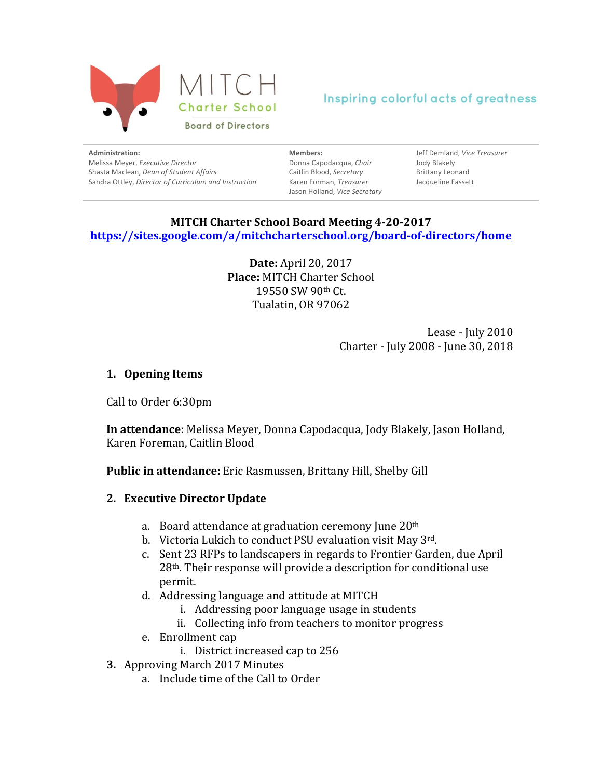

**Administration:** Melissa Meyer, *Executive Director* Shasta Maclean, *Dean of Student Affairs* Sandra Ottley, *Director of Curriculum and Instruction* 

**Members:** Donna Capodacqua, *Chair* Caitlin Blood, *Secretary* Karen Forman, *Treasurer* Jason Holland, *Vice Secretary*

Jeff Demland, *Vice Treasurer* Jody Blakely Brittany Leonard Jacqueline Fassett

#### **MITCH Charter School Board Meeting 4-20-2017 https://sites.google.com/a/mitchcharterschool.org/board-of-directors/home**

**Date:** April 20, 2017 **Place: MITCH Charter School** 19550 SW 90th Ct. Tualatin, OR 97062

> Lease - July 2010 Charter - July 2008 - June 30, 2018

# **1. Opening Items**

Call to Order 6:30pm

In attendance: Melissa Meyer, Donna Capodacqua, Jody Blakely, Jason Holland, Karen Foreman, Caitlin Blood

**Public in attendance:** Eric Rasmussen, Brittany Hill, Shelby Gill

# **2. Executive Director Update**

- a. Board attendance at graduation ceremony June  $20<sup>th</sup>$
- b. Victoria Lukich to conduct PSU evaluation visit May 3rd.
- c. Sent 23 RFPs to landscapers in regards to Frontier Garden, due April  $28<sup>th</sup>$ . Their response will provide a description for conditional use permit.
- d. Addressing language and attitude at MITCH
	- i. Addressing poor language usage in students
	- ii. Collecting info from teachers to monitor progress
- e. Enrollment cap
	- i. District increased cap to 256
- **3.** Approving March 2017 Minutes
	- a. Include time of the Call to Order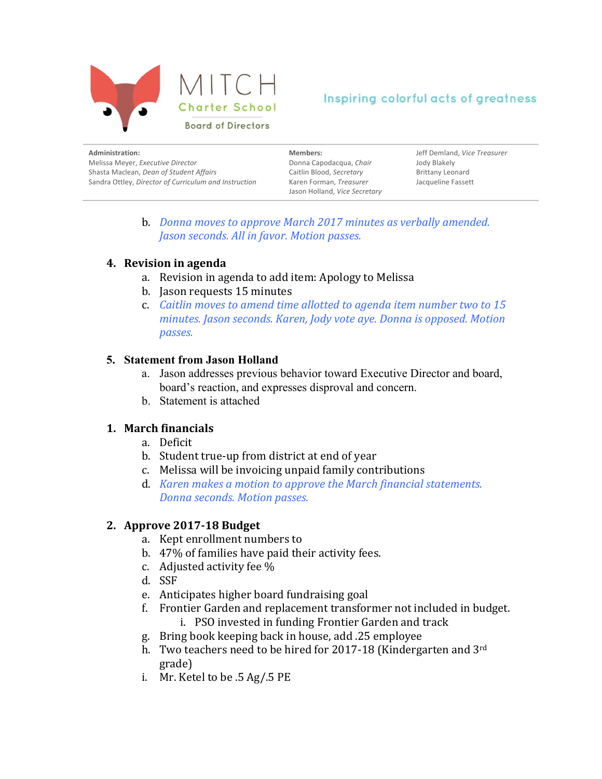

| Administration:                                       | Members:                      | Jeff Demland, Vice Treasurer |
|-------------------------------------------------------|-------------------------------|------------------------------|
| Melissa Meyer, Executive Director                     | Donna Capodacqua, Chair       | Jody Blakely                 |
| Shasta Maclean, Dean of Student Affairs               | Caitlin Blood, Secretary      | <b>Brittany Leonard</b>      |
| Sandra Ottley, Director of Curriculum and Instruction | Karen Forman, Treasurer       | Jacqueline Fassett           |
|                                                       | Jason Holland, Vice Secretary |                              |

b. *Donna moves to approve March 2017 minutes as verbally amended. Jason seconds. All in favor. Motion passes.* 

# **4.** Revision in agenda

- a. Revision in agenda to add item: Apology to Melissa
- b. Jason requests 15 minutes
- c. *Caitlin moves to amend time allotted to agenda item number two to 15 minutes. Jason seconds. Karen, Jody vote aye. Donna is opposed. Motion passes.*

#### **5. Statement from Jason Holland**

- a. Jason addresses previous behavior toward Executive Director and board, board's reaction, and expresses disproval and concern.
- b. Statement is attached

# **1. March financials**

- a. Deficit
- b. Student true-up from district at end of year
- c. Melissa will be invoicing unpaid family contributions
- d. *Karen makes a motion to approve the March financial statements. Donna seconds. Motion passes.*

# **2. Approve 2017-18 Budget**

- a. Kept enrollment numbers to
- b. 47% of families have paid their activity fees.
- c. Adjusted activity fee  $\%$
- d. SSF
- e. Anticipates higher board fundraising goal
- f. Frontier Garden and replacement transformer not included in budget.
	- i. PSO invested in funding Frontier Garden and track
- g. Bring book keeping back in house, add .25 employee
- h. Two teachers need to be hired for 2017-18 (Kindergarten and  $3<sup>rd</sup>$ grade)
- i. Mr. Ketel to be  $.5$  Ag/ $.5$  PE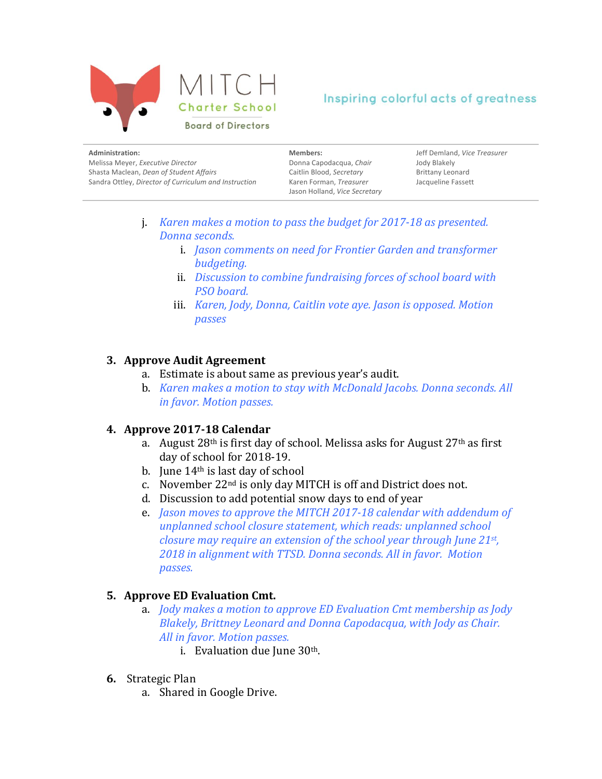

| Members:                 | Jeff Demland, Vice Treasurer  |
|--------------------------|-------------------------------|
| Donna Capodacqua, Chair  | Jody Blakely                  |
| Caitlin Blood, Secretary | <b>Brittany Leonard</b>       |
| Karen Forman, Treasurer  | Jacqueline Fassett            |
|                          | Jason Holland, Vice Secretary |

- j. *Karen makes a motion to pass the budget for 2017-18 as presented. Donna seconds.* 
	- i. *Jason comments on need for Frontier Garden and transformer budgeting.*
	- ii. *Discussion to combine fundraising forces of school board with PSO board.*
	- iii. *Karen, Jody, Donna, Caitlin vote aye. Jason is opposed. Motion passes*

# **3. Approve Audit Agreement**

- a. Estimate is about same as previous vear's audit.
- b. *Karen makes a motion to stay with McDonald Jacobs. Donna seconds. All in favor. Motion passes.*

# **4. Approve 2017-18 Calendar**

- a. August  $28<sup>th</sup>$  is first day of school. Melissa asks for August  $27<sup>th</sup>$  as first day of school for 2018-19.
- b. June  $14<sup>th</sup>$  is last day of school
- c. November  $22<sup>nd</sup>$  is only day MITCH is off and District does not.
- d. Discussion to add potential snow days to end of year
- e. *Jason moves to approve the MITCH 2017-18 calendar with addendum of unplanned school closure statement, which reads: unplanned school closure may require an extension of the school year through June 21st,* 2018 in alignment with TTSD. Donna seconds. All in favor. Motion *passes.*

# **5. Approve ED Evaluation Cmt.**

- a. *Jody* makes a motion to approve *ED* Evaluation Cmt membership as *Jody Blakely, Brittney Leonard and Donna Capodacqua, with Jody as Chair.* All in favor. Motion passes.
	- i. Evaluation due June  $30<sup>th</sup>$ .
- **6.** Strategic Plan
	- a. Shared in Google Drive.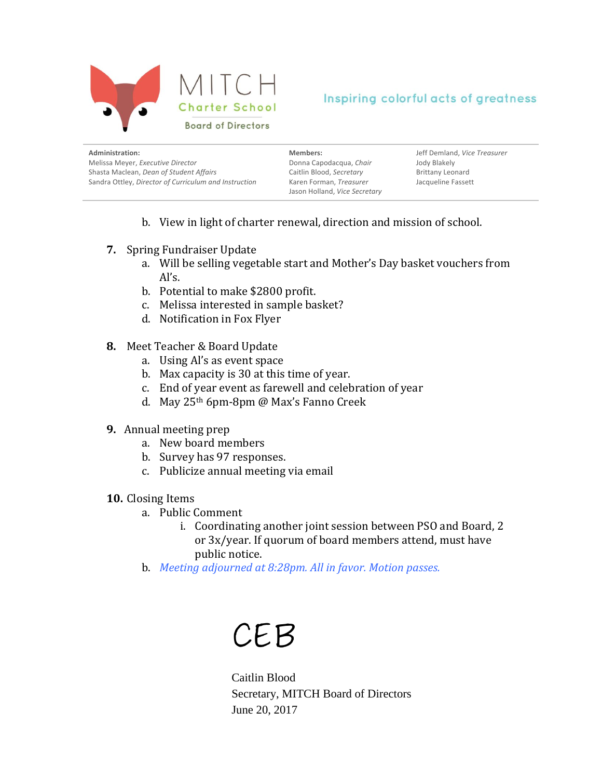

| Administration:                                       | Members:                                                 | Jeff Demland, Vice Treasurer |
|-------------------------------------------------------|----------------------------------------------------------|------------------------------|
| Melissa Meyer, Executive Director                     | Donna Capodacqua, Chair                                  | Jody Blakely                 |
| Shasta Maclean, Dean of Student Affairs               | Caitlin Blood, Secretary                                 | <b>Brittany Leonard</b>      |
| Sandra Ottley, Director of Curriculum and Instruction | Karen Forman, Treasurer<br>Jason Holland, Vice Secretary | Jacqueline Fassett           |

- b. View in light of charter renewal, direction and mission of school.
- **7.** Spring Fundraiser Update
	- a. Will be selling vegetable start and Mother's Day basket vouchers from Al's.
	- b. Potential to make \$2800 profit.
	- c. Melissa interested in sample basket?
	- d. Notification in Fox Flyer
- **8.** Meet Teacher & Board Update
	- a. Using Al's as event space
	- b. Max capacity is 30 at this time of year.
	- c. End of year event as farewell and celebration of year
	- d. May 25<sup>th</sup> 6pm-8pm @ Max's Fanno Creek
- **9.** Annual meeting prep
	- a. New board members
	- b. Survey has 97 responses.
	- c. Publicize annual meeting via email
- 10. Closing Items
	- a. Public Comment
		- i. Coordinating another joint session between PSO and Board, 2 or 3x/year. If quorum of board members attend, must have public notice.
	- b. *Meeting adjourned at 8:28pm. All in favor. Motion passes.*

# CEB

Caitlin Blood Secretary, MITCH Board of Directors June 20, 2017